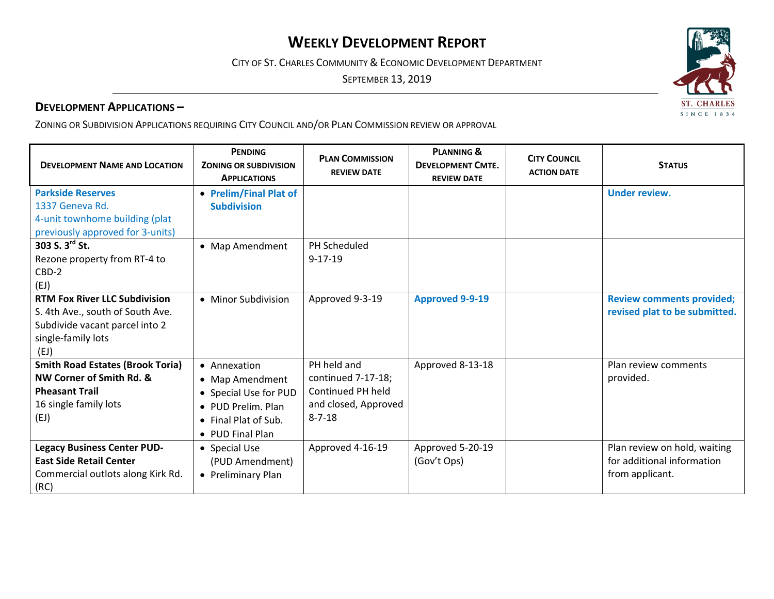# **WEEKLY DEVELOPMENT REPORT**

CITY OF ST. CHARLES COMMUNITY & ECONOMIC DEVELOPMENT DEPARTMENT

SEPTEMBER 13, 2019

## **DEVELOPMENT APPLICATIONS –**

ZONING OR SUBDIVISION APPLICATIONS REQUIRING CITY COUNCIL AND/OR PLAN COMMISSION REVIEW OR APPROVAL

| <b>DEVELOPMENT NAME AND LOCATION</b>                                                                                                     | <b>PENDING</b><br><b>ZONING OR SUBDIVISION</b><br><b>APPLICATIONS</b>                                                      | <b>PLAN COMMISSION</b><br><b>REVIEW DATE</b>                                                   | <b>PLANNING &amp;</b><br><b>DEVELOPMENT CMTE.</b><br><b>REVIEW DATE</b> | <b>CITY COUNCIL</b><br><b>ACTION DATE</b> | <b>STATUS</b>                                                                 |
|------------------------------------------------------------------------------------------------------------------------------------------|----------------------------------------------------------------------------------------------------------------------------|------------------------------------------------------------------------------------------------|-------------------------------------------------------------------------|-------------------------------------------|-------------------------------------------------------------------------------|
| <b>Parkside Reserves</b><br>1337 Geneva Rd.<br>4-unit townhome building (plat<br>previously approved for 3-units)                        | • Prelim/Final Plat of<br><b>Subdivision</b>                                                                               |                                                                                                |                                                                         |                                           | <b>Under review.</b>                                                          |
| 303 S. $3^{rd}$ St.<br>Rezone property from RT-4 to<br>$CBD-2$<br>(EJ)                                                                   | • Map Amendment                                                                                                            | PH Scheduled<br>$9 - 17 - 19$                                                                  |                                                                         |                                           |                                                                               |
| <b>RTM Fox River LLC Subdivision</b><br>S. 4th Ave., south of South Ave.<br>Subdivide vacant parcel into 2<br>single-family lots<br>(EJ) | • Minor Subdivision                                                                                                        | Approved 9-3-19                                                                                | <b>Approved 9-9-19</b>                                                  |                                           | <b>Review comments provided;</b><br>revised plat to be submitted.             |
| <b>Smith Road Estates (Brook Toria)</b><br>NW Corner of Smith Rd. &<br><b>Pheasant Trail</b><br>16 single family lots<br>(EJ)            | • Annexation<br>• Map Amendment<br>• Special Use for PUD<br>• PUD Prelim. Plan<br>• Final Plat of Sub.<br>• PUD Final Plan | PH held and<br>continued 7-17-18;<br>Continued PH held<br>and closed, Approved<br>$8 - 7 - 18$ | Approved 8-13-18                                                        |                                           | Plan review comments<br>provided.                                             |
| <b>Legacy Business Center PUD-</b><br><b>East Side Retail Center</b><br>Commercial outlots along Kirk Rd.<br>(RC)                        | • Special Use<br>(PUD Amendment)<br>• Preliminary Plan                                                                     | Approved 4-16-19                                                                               | Approved 5-20-19<br>(Gov't Ops)                                         |                                           | Plan review on hold, waiting<br>for additional information<br>from applicant. |

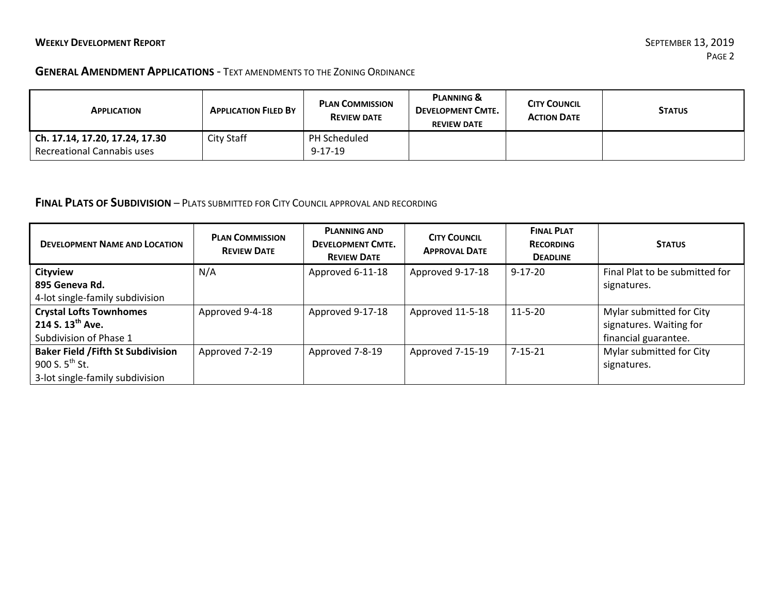#### **GENERAL AMENDMENT APPLICATIONS** ‐ TEXT AMENDMENTS TO THE ZONING ORDINANCE

| <b>APPLICATION</b>             | <b>APPLICATION FILED BY</b> | <b>PLAN COMMISSION</b><br><b>REVIEW DATE</b> | <b>PLANNING &amp;</b><br><b>DEVELOPMENT CMTE.</b><br><b>REVIEW DATE</b> | <b>CITY COUNCIL</b><br><b>ACTION DATE</b> | <b>STATUS</b> |
|--------------------------------|-----------------------------|----------------------------------------------|-------------------------------------------------------------------------|-------------------------------------------|---------------|
| Ch. 17.14, 17.20, 17.24, 17.30 | City Staff                  | PH Scheduled                                 |                                                                         |                                           |               |
| Recreational Cannabis uses     |                             | $9 - 17 - 19$                                |                                                                         |                                           |               |

### **FINAL PLATS OF SUBDIVISION** – PLATS SUBMITTED FOR CITY COUNCIL APPROVAL AND RECORDING

| <b>DEVELOPMENT NAME AND LOCATION</b>      | <b>PLAN COMMISSION</b><br><b>REVIEW DATE</b> | <b>PLANNING AND</b><br><b>DEVELOPMENT CMTE.</b><br><b>REVIEW DATE</b> | <b>CITY COUNCIL</b><br><b>APPROVAL DATE</b> | <b>FINAL PLAT</b><br><b>RECORDING</b><br><b>DEADLINE</b> | <b>STATUS</b>                  |
|-------------------------------------------|----------------------------------------------|-----------------------------------------------------------------------|---------------------------------------------|----------------------------------------------------------|--------------------------------|
| <b>Cityview</b>                           | N/A                                          | Approved 6-11-18                                                      | Approved 9-17-18                            | $9 - 17 - 20$                                            | Final Plat to be submitted for |
| 895 Geneva Rd.                            |                                              |                                                                       |                                             |                                                          | signatures.                    |
| 4-lot single-family subdivision           |                                              |                                                                       |                                             |                                                          |                                |
| <b>Crystal Lofts Townhomes</b>            | Approved 9-4-18                              | Approved 9-17-18                                                      | Approved 11-5-18                            | $11 - 5 - 20$                                            | Mylar submitted for City       |
| 214 S. 13 <sup>th</sup> Ave.              |                                              |                                                                       |                                             |                                                          | signatures. Waiting for        |
| Subdivision of Phase 1                    |                                              |                                                                       |                                             |                                                          | financial guarantee.           |
| <b>Baker Field / Fifth St Subdivision</b> | Approved 7-2-19                              | Approved 7-8-19                                                       | Approved 7-15-19                            | $7 - 15 - 21$                                            | Mylar submitted for City       |
| 900 S. $5^{th}$ St.                       |                                              |                                                                       |                                             |                                                          | signatures.                    |
| 3-lot single-family subdivision           |                                              |                                                                       |                                             |                                                          |                                |